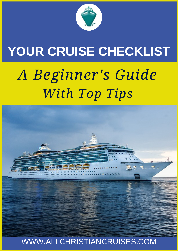

## **YOUR CRUISE CHECKLIST**

# *A Beginner's Guide With Top Tips*

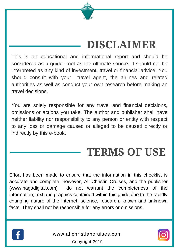

## **[DISCLAIMER](http://www.lbsuccess.de/)**

This is an educational and informational report and should be considered as a guide - not as the ultimate source. It should not be interpreted as any kind of investment, travel or financial advice. You should consult with your travel agent, the airlines and related authorities as well as conduct your own research before making an travel decisions.

You are solely responsible for any travel and financial decisions, omissions or actions you take. The author and publisher shall have neither liability nor responsibility to any person or entity with respect to any loss or damage caused or alleged to be caused directly or indirectly by this e-book.

## **TERMS OF USE**

Effort has been made to ensure that the information in this checklist is accurate and complete, however, All Christin Cruises, and the publisher (www.nagadigital.com) do not warrant the completeness of the information, text and graphics contained within this guide due to the rapidly changing nature of the internet, science, research, known and unknown facts. They shall not be responsible for any errors or omissions.



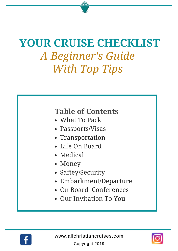## **YOUR CRUISE CHECKLIST** *A Beginner's Guide With Top Tips*

## **Table of Contents**

- What To Pack
- Passports/Visas
- Transportation
- Life On Board
- Medical
- Money
- Saftey/Security
- Embarkment/Departure
- On Board Conferences
- Our Invitation To You



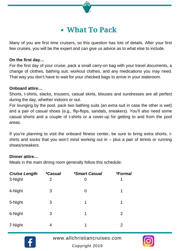## **What To Pack**

Many of you are first time cruisers, so this question has lots of details. After your first few cruises, you will be the expert and can give us advice as to what else to include.

#### **On the first day…**

For the first day of your cruise, pack a small carry-on bag with your travel documents, a change of clothes, bathing suit, workout clothes, and any medications you may need. That way you don't have to wait for your checked bags to arrive in your stateroom.

#### **Onboard attire…**

Shorts, t-shirts, slacks, trousers, casual skirts, blouses and sundresses are all perfect during the day, whether indoors or out.

For lounging by the pool, pack two bathing suits (an extra suit in case the other is wet) and a pair of casual shoes (e.g., flip-flops, sandals, sneakers). You'll also need some casual shorts and a couple of t-shirts or a cover-up for getting to and from the pool areas.

If you're planning to visit the onboard fitness center, be sure to bring extra shorts, tshirts and socks that you won't mind working out in  $-$  plus a pair of tennis or running shoes/sneakers.

#### **Dinner attire…**

Meals in the main dining room generally follow this schedule:

| <b>Cruise Length</b> | <i><b>*Casual</b></i> | <i><b>*Smart Casual</b></i> | <i><b>*Formal</b></i> |
|----------------------|-----------------------|-----------------------------|-----------------------|
| 3-Night              | 2                     | 0                           | 1                     |
| 4-Night              | 3                     | 0                           | 1                     |
| 5-Night              | 3                     | 1                           | 1                     |
| 6-Night              | 3                     | 1                           | 2                     |
| 7-Night              | 4                     | 1                           | 2                     |



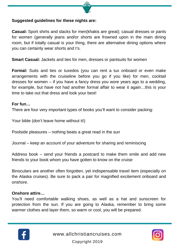#### **Suggested guidelines for these nights are:**

**Casual:** Sport shirts and slacks for men(khakis are great); casual dresses or pants for women (generally jeans and/or shorts are frowned upon in the main dining room, but if totally casual is your thing, there are alternative dining options where you can certainly wear shorts and t's.

**Smart Casual:** Jackets and ties for men, dresses or pantsuits for women

**Formal:** Suits and ties or tuxedos (you can rent a tux onboard or even make arrangements with the cruiseline before you go if you like) for men, cocktail dresses for women – if you have a fancy dress you wore years ago to a wedding, for example, but have not had another formal affair to wear it again…this is your time to take out that dress and look your best!

#### **For fun…**

There are four very important types of books you'll want to consider packing:

Your bible (don't leave home without it!)

Poolside pleasures – nothing beats a great read in the sun

Journal – keep an account of your adventure for sharing and reminiscing

Address book – send your friends a postcard to make them smile and add new friends to your book whom you have gotten to know on the cruise

Binoculars are another often forgotten, yet indispensable travel item (especially on the Alaska cruises). Be sure to pack a pair for magnified excitement onboard and onshore.

#### **Onshore attire…**

You'll need comfortable walking shoes, as well as a hat and sunscreen for protection from the sun. If you are going to Alaska, remember to bring some warmer clothes and layer them, so warm or cool, you will be prepared.



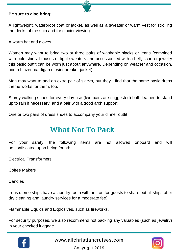#### **Be sure to also bring:**

A lightweight, waterproof coat or jacket, as well as a sweater or warm vest for strolling the decks of the ship and for glacier viewing.

A warm hat and gloves.

Women may want to bring two or three pairs of washable slacks or jeans (combined with polo shirts, blouses or light sweaters and accessorized with a belt, scarf or jewelry this basic outfit can be worn just about anywhere. Depending on weather and occasion, add a blazer, cardigan or windbreaker jacket)

Men may want to add an extra pair of slacks, but they'll find that the same basic dress theme works for them, too.

Sturdy walking shoes for every day use (two pairs are suggested) both leather, to stand up to rain if necessary, and a pair with a good arch support.

One or two pairs of dress shoes to accompany your dinner outfit

## **What Not To Pack**

For your safety, the following items are not allowed onboard and will be confiscated upon being found:

Electrical Transformers

Coffee Makers

Candles

Irons (some ships have a laundry room with an iron for guests to share but all ships offer dry cleaning and laundry services for a moderate fee)

Flammable Liquids and Explosives, such as fireworks.

For security purposes, we also recommend not packing any valuables (such as jewelry) in your checked luggage.



[www.allchristiancruises.com](http://www.allchristiancruises.com/)

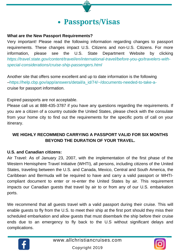### **Passports/Visas**

#### **What are the New Passport Requirements?**

Very important! Please read the following information regarding changes to passport requirements. These changes impact U.S. Citizens and non-U.S. Citizens. For more information, please see the U.S. State Department Website by clicking *https://travel.state.gov/content/travel/en/international-travel/before-you-go/travelers-withspecial-considerations/cruise-ship-passengers.html*

Another site that offers some excellent and up to date information is the following –https://help.cbp.gov/app/answers/detail/a\_id/74/~/documents-needed-to-take-acruise for passport information.

Expired passports are not acceptable.

Please call us at 888-435-3787 if you have any questions regarding the requirements. If you are a citizen of a country outside the United States, please check with the consulate from your home city to find out the requirements for the specific ports of call on your itinerary.

#### **WE HIGHLY RECOMMEND CARRYING A PASSPORT VALID FOR SIX MONTHS BEYOND THE DURATION OF YOUR TRAVEL.**

#### **U.S. and Canadian citizens:**

Air Travel: As of January 23, 2007, with the implementation of the first phase of the Western Hemisphere Travel Initiative (WHTI), all persons, including citizens of the United States, traveling between the U.S. and Canada, Mexico, Central and South America, the Caribbean and Bermuda will be required to have and carry a valid passport or WHTIcompliant document to enter or re-enter the United States by air. This requirement impacts our Canadian guests that travel by air to or from any of our U.S. embarkation ports.

We recommend that all guests travel with a valid passport during their cruise. This will enable guests to fly from the U.S. to meet their ship at the first port should they miss their scheduled embarkation and allow guests that must disembark the ship before their cruise ends due to an emergency to fly back to the U.S without significant delays and complications.



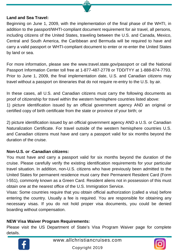#### **Land and Sea Travel:**

Beginning on June 1, 2009, with the implementation of the final phase of the WHTI, in addition to the passport/WHTI-compliant document requirement for air travel, all persons, including citizens of the United States, traveling between the U.S. and Canada, Mexico, Central and South America, the Caribbean and Bermuda will be required to have and carry a valid passport or WHTI-compliant document to enter or re-enter the United States by land or sea.

For more information, please see the www.travel.state.gov/passport or call the National Passport Information Center toll free at 1-877-487-2778 or TDD/TYY at 1-888-874-7793. Prior to June 1, 2009, the final implementation date, U.S. and Canadian citizens may travel without a passport on itineraries that do not require re-entry to the U.S. by air.

In these cases, all U.S. and Canadian citizens must carry the following documents as proof of citizenship for travel within the western hemisphere countries listed above: 1) picture identification issued by an official government agency AND an original or certified copy of birth certificate from the state or province of your birth; or

2) picture identification issued by an official government agency AND a U.S. or Canadian Naturalization Certificate. For travel outside of the western hemisphere countries U.S. and Canadian citizens must have and carry a passport valid for six months beyond the duration of the cruise.

#### **Non-U.S. or -Canadian citizens:**

You must have and carry a passport valid for six months beyond the duration of the cruise. Please carefully verify the existing identification requirements for your particular travel situation. In addition, non-U.S. citizens who have previously been admitted to the United States for permanent residence must carry their Permanent Resident Card (Form I-551), commonly known as a Green Card. Resident aliens not in possession of this must obtain one at the nearest office of the U.S. Immigration Service.

Visas: Some countries require that you obtain official authorization (called a visa) before entering the country. Usually a fee is required. You are responsible for obtaining any necessary visas. If you do not hold proper visa documents, you could be denied boarding without compensation.

#### **NEW Visa Waiver Program Requirements:**

Please visit the US Department of State's Visa Program Waiver page for complete details.



[www.allchristiancruises.com](http://www.allchristiancruises.com/)

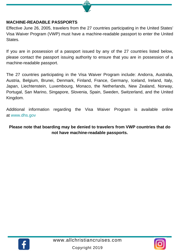#### **MACHINE-READABLE PASSPORTS**

Effective June 26, 2005, travelers from the 27 countries participating in the United States' Visa Waiver Program (VWP) must have a machine-readable passport to enter the United States.

If you are in possession of a passport issued by any of the 27 countries listed below, please contact the passport issuing authority to ensure that you are in possession of a machine-readable passport.

The 27 countries participating in the Visa Waiver Program include: Andorra, Australia, Austria, Belgium, Brunei, Denmark, Finland, France, Germany, Iceland, Ireland, Italy, Japan, Liechtenstein, Luxembourg, Monaco, the Netherlands, New Zealand, Norway, Portugal, San Marino, Singapore, Slovenia, Spain, Sweden, Switzerland, and the United Kingdom.

Additional information regarding the Visa Waiver Program is available online at www.dhs.gov

#### **Please note that boarding may be denied to travelers from VWP countries that do not have machine-readable passports.**



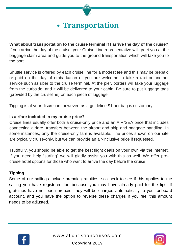## **Transportation**

**What about transportation to the cruise terminal if I arrive the day of the cruise?** If you arrive the day of the cruise, your Cruise Line representative will greet you at the baggage claim area and guide you to the ground transportation which will take you to the port.

Shuttle service is offered by each cruise line for a modest fee and this may be prepaid or paid on the day of embarkation or you are welcome to take a taxi or another service such as uber to the cruise terminal. At the pier, porters will take your luggage from the curbside, and it will be delivered to your cabin. Be sure to put luggage tags (provided by the cruiseline) on each piece of luggage.

Tipping is at your discretion, however, as a guideline \$1 per bag is customary.

#### **Is airfare included in my cruise price?**

Cruise lines usually offer both a cruise-only price and an AIR/SEA price that includes connecting airfare, transfers between the airport and ship and baggage handling. In some instances, only the cruise-only fare is available. The prices shown on our site are typically cruise-only, but we can provide an air-inclusive price if requested.

Truthfully, you should be able to get the best flight deals on your own via the internet. If you need help "surfing" we will gladly assist you with this as well. We offer precruise hotel options for those who want to arrive the day before the cruise.

#### **Tipping**

Some of our sailings include prepaid gratuities, so check to see if this applies to the sailing you have registered for, because you may have already paid for the tips! If gratuities have not been prepaid, they will be charged automatically to your onboard account, and you have the option to reverse these charges if you feel this amount needs to be adjusted.



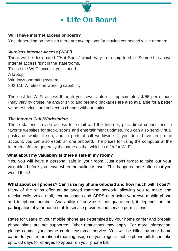

#### **Will I have internet access onboard?**

Yes, depending on the ship there are two options for staying connected while onboard.

#### *Wireless Internet Access (Wi-Fi)*

There will be designated \*"Hot Spots" which vary from ship to ship. Some ships have internet access right in the staterooms. To use the WI-FI access, you'll need: A laptop Windows operating system 802.11b Wireless networking capability

The cost for Wi-Fi access through your own laptop is approximately \$.55 per minute (may vary by cruiseline and/or ship) and prepaid packages are also available for a better value: All prices are subject to change without notice.

#### *The Internet Cafe/Workstation*

These stations provide access to e-mail and the Internet, plus direct connections to favorite websites for stock, sports and entertainment updates. You can also send virtual postcards while at sea, and in ports-of-call worldwide. If you don't have an e-mail account, you can also establish one onboard. The prices for using the computer at the internet café are generally the same as that which is offer for WI-FI.

#### **What about my valuable? Is there a safe in my room?**

Yes, you will have a personal safe in your room. Just don't forget to take out your valuables before you leave when the sailing is over. This happens more often that you would think!

#### **What about cell phones? Can I use my phone onboard and how much will it cost?**

Many of the ships offer an advanced roaming network, allowing you to make and receive calls, voice mail, text messages and GPRS data using your own mobile phone and telephone number. Availability of service is not guaranteed; it depends on the participation of your home mobile service provider and service permissions.

Rates for usage of your mobile phone are determined by your home carrier and prepaid phone plans are not supported. Other restrictions may apply. For more information, please contact your home carrier customer service. You will be billed by your home carrier for your international roaming usage on your regular mobile phone bill. It can take up to 60 days for charges to appear on your phone bill.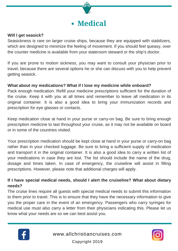

#### **Will I get seasick?**

Seasickness is rare on larger cruise ships, because they are equipped with stabilizers, which are designed to minimize the feeling of movement. If you should feel queasy, over the counter medicine is available from your stateroom steward or the ship's doctor.

If you are prone to motion sickness, you may want to consult your physician prior to travel, because there are several options he or she can discuss with you to help prevent getting seasick.

#### **What about my medications? What if I lose my medicine while onboard?**

Pack enough medication. Refill your medicine prescriptions sufficient for the duration of the cruise. Keep it with you at all times and remember to leave all medication in its original container. It is also a good idea to bring your immunization records and prescription for eye glasses or contacts.

Keep medication close at hand in your purse or carry-on bag. Be sure to bring enough prescription medicine to last throughout your cruise, as it may not be available on board or in some of the countries visited.

Your prescription medication should be kept close at hand in your purse or carry-on bag rather than in your checked luggage. Be sure to bring a sufficient supply of medication and transport it in the original container. It is also a good idea to carry a written list of your medications in case they are lost. The list should include the name of the drug, dosage and times taken. In case of emergency, the cruiseline will assist in filling prescriptions. However, please note that additional charges will apply.

#### **If I have special medical needs, should I alert the cruiseline? What about dietary needs?**

The cruise lines require all guests with special medical needs to submit this information to them prior to travel. This is to ensure that they have the necessary information to give you the proper care in the event of an emergency. Passengers who carry syringes for medical use must also carry a letter from their physicians indicating this. Please let us know what your needs are so we can best assist you.



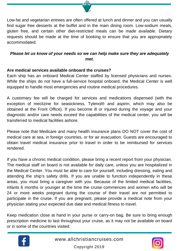

#### *Please let us know of your needs so we can help make sure they are adequately met.*

#### **Are medical services available onboard the cruises?**

Each ship has an onboard Medical Center staffed by licensed physicians and nurses. While the ships do not have a full-service hospital onboard, the Medical Center is well equipped to handle most emergencies and routine medical procedures.

A customary fee will be charged for services and medications dispensed (with the exception of meclizine for seasickness, Tylenol® and aspirin, which may also be obtained at the Front Office). If you become ill or injured during the voyage and your diagnostic and/or care needs exceed the capabilities of the medical center, you will be transferred to medical facilities ashore.

Please note that Medicare and many health insurance plans DO NOT cover the cost of medical care at sea, in foreign countries, or for air evacuation. Guests are encouraged to obtain travel medical insurance prior to travel in order to be reimbursed for services rendered.

If you have a chronic medical condition, please bring a recent report from your physician. The medical staff on board is not available for daily care, unless you are hospitalized in the Medical Center. You must be able to care for yourself, including dressing, eating and attending the ship's safety drills. If you are unable to function independently in these areas, you must bring a caregiver with you. Because of the limited medical facilities, infants 6 months or younger at the time the cruise commences and women who will be 24 or more weeks pregnant during the course of their travel are not permitted to participate in the cruise. If you are pregnant, please provide a medical note from your physician stating your expected due date and medical fitness to travel.

Keep medication close at hand in your purse or carry-on bag. Be sure to bring enough prescription medicine to last throughout your cruise, as it may not be available on board or in some of the countries visited.



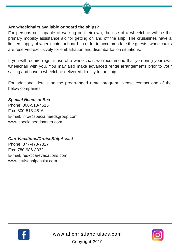

#### **Are wheelchairs available onboard the ships?**

For persons not capable of walking on their own, the use of a wheelchair will be the primary mobility assistance aid for getting on and off the ship. The cruiselines have a limited supply of wheelchairs onboard. In order to accommodate the guests, wheelchairs are reserved exclusively for embarkation and disembarkation situations.

If you will require regular use of a wheelchair, we recommend that you bring your own wheelchair with you. You may also make advanced rental arrangements prior to your sailing and have a wheelchair delivered directly to the ship.

For additional details on the prearranged rental program, please contact one of the below companies:

#### *Special Needs at Sea*

Phone: 800-513-4515 Fax: 800-513-4516 E-mail: info@specialneedsgroup.com www.specialneedsatsea.com

#### *CareVacations/CruiseShipAssist*

Phone: 877-478-7827 Fax: 780-986-8332 E-mail: res@carevacations.com www.cruiseshipassist.com



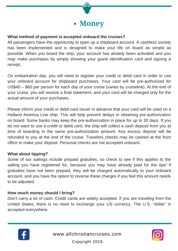

#### **What method of payment is accepted onboard the cruises?**

All passengers have the opportunity to open up a shipboard account. A cashless society has been implemented and is designed to make your life on board as simple as possible. When you board the ship, your account has already been activated and you may make purchases by simply showing your guest identification card and signing a receipt.

On embarkation day, you will need to register your credit or debit card in order to use your onboard account for shipboard purchases. Your card will be pre-authorized for US\$40 – \$60 per person for each day of your cruise (varies by cruiseline). At the end of your cruise, you will receive a final statement, and your card will be charged only for the actual amount of your purchases.

Please inform your credit or debit card issuer in advance that your card will be used on a Holland America Line ship. This will help prevent delays in obtaining pre-authorization on board. Some banks may keep the pre-authorization in place for up to 30 days. If you do not want to use a credit or debit card, the ship will collect a cash deposit from you at time of boarding in the same pre-authorization amount. Any excess deposit will be refunded to you at the end of the cruise. Travelers checks may be cashed at the front office to make your deposit. Personal checks are not accepted onboard.

#### **What about tipping?**

Some of our sailings include prepaid gratuities, so check to see if this applies to the sailing you have registered for, because you may have already paid for the tips! If gratuities have not been prepaid, they will be charged automatically to your onboard account, and you have the option to reverse these charges if you feel this amount needs to be adjusted.

#### **How much money should I bring?**

Don't carry a lot of cash. Credit cards are widely accepted. If you are traveling from the United States, there is no need to exchange your US currency. The U.S. "dollar" is accepted everywhere.



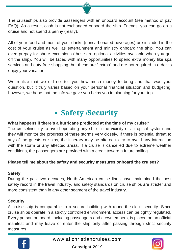The cruiseships also provide passengers with an onboard account (see method of pay FAQ). As a result, cash is not exchanged onboard the ship. Friends, you can go on a cruise and not spend a penny (really).

All of your food and most of your drinks (noncarbonated beverages) are included in the cost of your cruise as well as entertainment and ministry onboard the ship. You can even prepay for shore excursions (these are optional activities available when you get off the ship). You will be faced with many opportunities to spend extra money like spa services and duty free shopping, but these are "extras" and are not required in order to enjoy your vacation.

We realize that we did not tell you how much money to bring and that was your question, but it truly varies based on your personal financial situation and budgeting, however, we hope that the info we gave you helps you in planning for your trip.

## **Safety /Security**

#### **What happens if there's a hurricane predicted at the time of my cruise?**

The cruiselines try to avoid operating any ship in the vicinity of a tropical system and they will monitor the progress of these storms very closely. If there is potential threat to any of the guests or ships, the itinerary may be altered to try to avoid any interaction with the storm or any affected areas. If a cruise is cancelled due to extreme weather conditions, the passengers are provided with a credit toward a future sailing.

#### **Please tell me about the safety and security measures onboard the cruises?**

#### **Safety**

During the past two decades, North American cruise lines have maintained the best safety record in the travel industry, and safety standards on cruise ships are stricter and more consistent than in any other segment of the travel industry.

#### **Security**

A cruise ship is comparable to a secure building with round-the-clock security. Since cruise ships operate in a strictly controlled environment, access can be tightly regulated. Every person on board, including passengers and crewmembers, is placed on an official manifest and may leave or enter the ship only after passing through strict security measures.



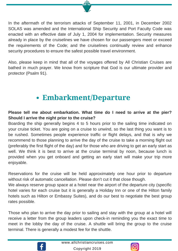In the aftermath of the terrorism attacks of September 11, 2001, in December 2002 SOLAS was amended and the International Ship Security and Port Faculty Code was enacted with an effective date of July 1, 2004 for implementation. Security measures already in place by the cruiselines we have chosen for our passengers meet or exceed the requirements of the Code; and the cruiselines continually review and enhance security procedures to ensure the safest possible travel environment.

Also, please keep in mind that all of the voyages offered by All Christian Cruises are bathed in much prayer. We know from scripture that God is our ultimate provider and protector (Psalm 91).

## **Embarkment/Departure**

#### **Please tell me about embarkation. What time do I need to arrive at the pier? Should I arrive the night prior to the cruise?**

Boarding the ship generally begins 4 to 5 hours prior to the sailing time indicated on your cruise ticket. You are going on a cruise to unwind, so the last thing you want is to be rushed. Sometimes people experience traffic or flight delays, and that is why we recommend to those planning to arrive the day of the cruise to take a morning flight out (preferably the first flight of the day) and for those who are driving to get an early start as well. We think it is best to arrive at the cruise terminal by noon, because lunch is provided when you get onboard and getting an early start will make your trip more enjoyable.

Reservations for the cruise will be held approximately one hour prior to departure without risk of automatic cancellation. Please don't cut it that close though.

We always reserve group space at a hotel near the airport of the departure city (specific hotel varies for each cruise but it is generally a Holiday Inn or one of the Hilton family hotels such as Hilton or Embassy Suites), and do our best to negotiate the best group rates possible.

Those who plan to arrive the day prior to sailing and stay with the group at a hotel will receive a letter from the group leaders upon check-in reminding you the exact time to meet in the lobby the day of the cruise. A shuttle will bring the group to the cruise terminal. There is generally a modest fee for the shuttle.



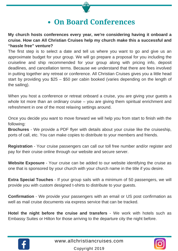### **On Board Conferences**

**My church hosts conferences every year, we're considering having it onboard a cruise. How can All Christian Cruises help my church make this a successful and "hassle free" venture?**

The first step is to select a date and tell us where you want to go and give us an approximate budget for your group. We will go prepare a proposal for you including the cruiseline and ship recommended for your group along with pricing info, deposit deadlines, and cancellation terms. Because we understand that there are fees involved in putting together any retreat or conference. All Christian Cruises gives you a little head start by providing you \$25 – \$50 per cabin booked (varies depending on the length of the sailing).

When you host a conference or retreat onboard a cruise, you are giving your guests a whole lot more than an ordinary cruise – you are giving them spiritual enrichment and refreshment in one of the most relaxing settings around.

Once you decide you want to move forward we will help you from start to finish with the following:

**Brochures** - We provide a PDF flyer with details about your cruise like the cruiseship, ports of call, etc. You can make copies to distribute to your members and friends.

**Registration** - Your cruise passengers can call our toll free number and/or register and pay for their cruise online through our website and secure server.

**Website Exposure** - Your cruise can be added to our website identifying the cruise as one that is sponsored by your church with your church name in the title if you desire.

**Extra Special Touches** - If your group sails with a minimum of 50 passengers, we will provide you with custom designed t-shirts to distribute to your guests.

**Confirmation** - We provide your passengers with an email or US post confirmation as well as mail cruise documents via express service that can be tracked.

**Hotel the night before the cruise and transfers** - We work with hotels such as Embassy Suites or Hilton for those arriving to the departure city the night before.



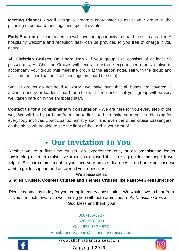**Meeting Planner -** We'll assign a program coordinator to assist your group in the planning of on board meetings and special events.

**Early Boarding** - Your leadership will have the opportunity to board the ship a earlier. A hospitality welcome and reception desk can be provided to you free of charge if you desire…

**All Christian Cruises On Board Rep -** If your group size consists of at least 50 passengers, All Christian Cruises will send at least one experienced representative to accompany your group (will meet the group at the airport hotel, sail with the group and assist in the coordination of all meetings on board the ship).

Smaller groups do not need to worry…we make sure that all bases are covered in advance and your leaders board the ship with confidence that your group will be very well taken care of by the shipboard staff.

**Contact us for a complimentary consultation -** We are here for you every step of the way. We will hold your hand from start to finish to help make your cruise a blessing for everybody involved…participants, ministry staff, and even the other cruise passengers on the ships will be able to see the light of the Lord in your group!

### **Our Invitation To You**

Whether you're a first time cruiser, an experienced one, or an organisation leader considering a group cruise, we trust you enjoyed this cruising guide and hope it was helpful. But our committment to your and your cruise idea doesn't end here because we want to guide, support and answer all your questions.

We specialize in:

#### **Singles Cruises, Couples Cruises and Themes Cruises like Passover/Ressurrection**

Please contact us today for your complimentary consultation. We would love to hear from you and look forward to welcoming you with both arms aboard *All Christian Cruises*! God bless and thank you!

> 888-435-3787 678-353-3331 Cell: 678-462-6577 Email: reservations@allchristiancruises.com



[www.allchristiancruises.com](http://www.allchristiancruises.com/)